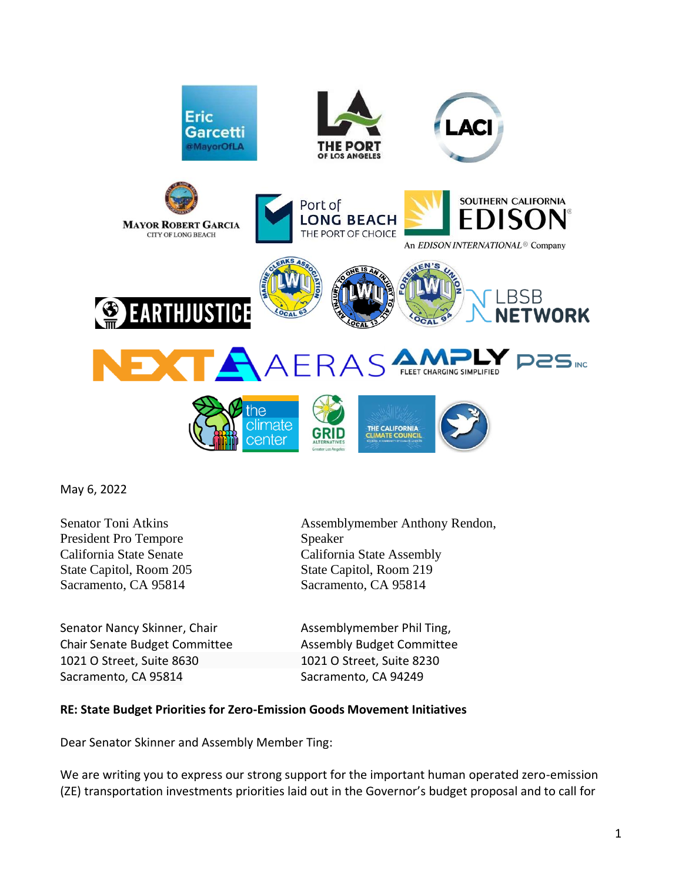

May 6, 2022

President Pro Tempore Speaker State Capitol, Room 205 State Capitol, Room 219 Sacramento, CA 95814 Sacramento, CA 95814

Senator Nancy Skinner, Chair **Assemblymember Phil Ting**, Chair Senate Budget Committee Assembly Budget Committee 1021 O Street, Suite 8630 1021 O Street, Suite 8230 Sacramento, CA 95814 Sacramento, CA 94249

Senator Toni Atkins Assemblymember Anthony Rendon, California State Senate California State Assembly

## **RE: State Budget Priorities for Zero-Emission Goods Movement Initiatives**

Dear Senator Skinner and Assembly Member Ting:

We are writing you to express our strong support for the important human operated zero-emission (ZE) transportation investments priorities laid out in the Governor's budget proposal and to call for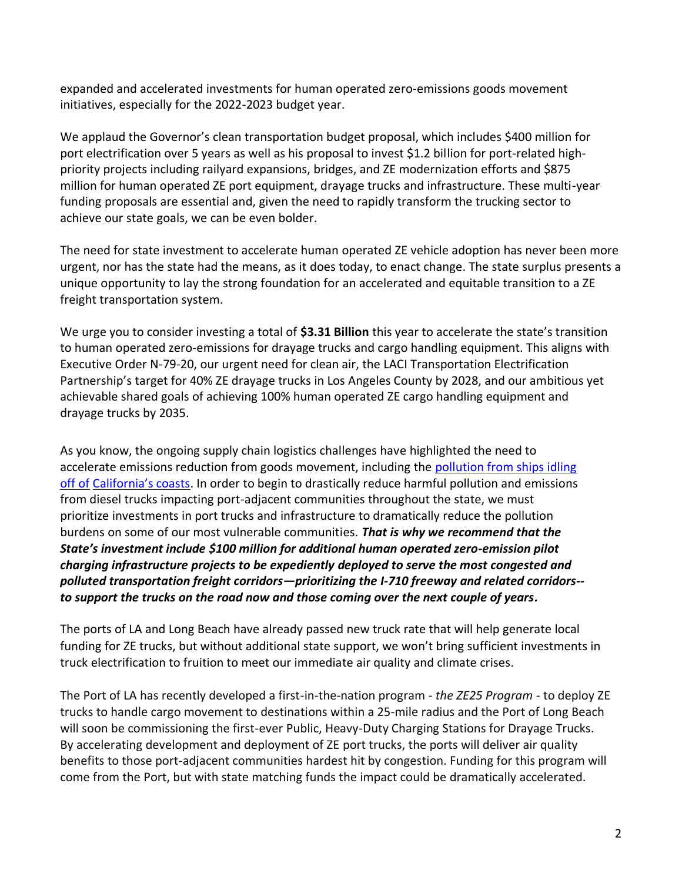expanded and accelerated investments for human operated zero-emissions goods movement initiatives, especially for the 2022-2023 budget year.

We applaud the Governor's clean transportation budget proposal, which includes \$400 million for port electrification over 5 years as well as his proposal to invest \$1.2 billion for port-related highpriority projects including railyard expansions, bridges, and ZE modernization efforts and \$875 million for human operated ZE port equipment, drayage trucks and infrastructure. These multi-year funding proposals are essential and, given the need to rapidly transform the trucking sector to achieve our state goals, we can be even bolder.

The need for state investment to accelerate human operated ZE vehicle adoption has never been more urgent, nor has the state had the means, as it does today, to enact change. The state surplus presents a unique opportunity to lay the strong foundation for an accelerated and equitable transition to a ZE freight transportation system.

We urge you to consider investing a total of **\$3.31 Billion** this year to accelerate the state's transition to human operated zero-emissions for drayage trucks and cargo handling equipment. This aligns with Executive Order N-79-20, our urgent need for clean air, the LACI Transportation Electrification Partnership's target for 40% ZE drayage trucks in Los Angeles County by 2028, and our ambitious yet achievable shared goals of achieving 100% human operated ZE cargo handling equipment and drayage trucks by 2035.

As you know, the ongoing supply chain logistics challenges have highlighted the need to accelerate emissions reduction from goods movement, including the pollution from ships idling off of California's coasts. In order to begin to drastically reduce harmful pollution and emissions from diesel trucks impacting port-adjacent communities throughout the state, we must prioritize investments in port trucks and infrastructure to dramatically reduce the pollution burdens on some of our most vulnerable communities. *That is why we recommend that the State's investment include \$100 million for additional human operated zero-emission pilot charging infrastructure projects to be expediently deployed to serve the most congested and polluted transportation freight corridors—prioritizing the I-710 freeway and related corridors- to support the trucks on the road now and those coming over the next couple of years.*

The ports of LA and Long Beach have already passed new truck rate that will help generate local funding for ZE trucks, but without additional state support, we won't bring sufficient investments in truck electrification to fruition to meet our immediate air quality and climate crises.

The Port of LA has recently developed a first-in-the-nation program - *the ZE25 Program* - to deploy ZE trucks to handle cargo movement to destinations within a 25-mile radius and the Port of Long Beach will soon be commissioning the first-ever Public, Heavy-Duty Charging Stations for Drayage Trucks. By accelerating development and deployment of ZE port trucks, the ports will deliver air quality benefits to those port-adjacent communities hardest hit by congestion. Funding for this program will come from the Port, but with state matching funds the impact could be dramatically accelerated.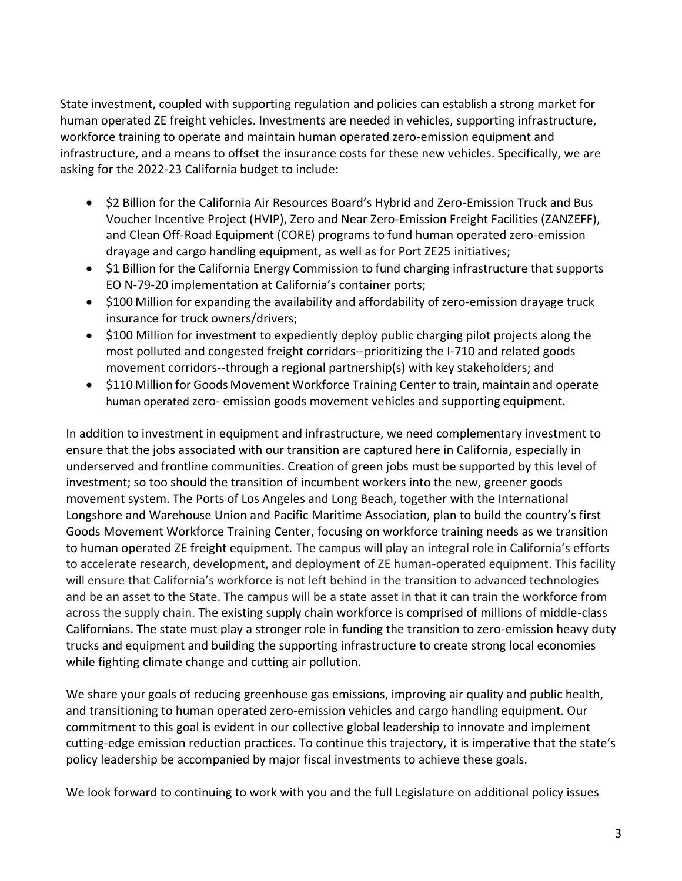State investment, coupled with supporting regulation and policies can establish a strong market for human operated ZE freight vehicles. Investments are needed in vehicles, supporting infrastructure, workforce training to operate and maintain human operated zero-emission equipment and infrastructure, and a means to offset the insurance costs for these new vehicles. Specifically, we are asking for the 2022-23 California budget to include:

- \$2 Billion for the California Air Resources Board's Hybrid and Zero-Emission Truck and Bus Voucher Incentive Project (HVIP), Zero and Near Zero-Emission Freight Facilities (ZANZEFF), and Clean Off-Road Equipment (CORE) programs to fund human operated zero-emission drayage and cargo handling equipment, as well as for Port ZE25 initiatives;
- \$1 Billion for the California Energy Commission to fund charging infrastructure that supports EO N-79-20 implementation at California's container ports;
- \$100 Million for expanding the availability and affordability of zero-emission drayage truck insurance for truck owners/drivers;
- \$100 Million for investment to expediently deploy public charging pilot projects along the most polluted and congested freight corridors--prioritizing the I-710 and related goods movement corridors--through a regional partnership(s) with key stakeholders; and
- \$110 Million for Goods Movement Workforce Training Center to train, maintain and operate human operated zero- emission goods movement vehicles and supporting equipment.

In addition to investment in equipment and infrastructure, we need complementary investment to ensure that the jobs associated with our transition are captured here in California, especially in underserved and frontline communities. Creation of green jobs must be supported by this level of investment; so too should the transition of incumbent workers into the new, greener goods movement system. The Ports of Los Angeles and Long Beach, together with the International Longshore and Warehouse Union and Pacific Maritime Association, plan to build the country's first Goods Movement Workforce Training Center, focusing on workforce training needs as we transition to human operated ZE freight equipment. The campus will play an integral role in California's efforts to accelerate research, development, and deployment of ZE human-operated equipment. This facility will ensure that California's workforce is not left behind in the transition to advanced technologies and be an asset to the State. The campus will be a state asset in that it can train the workforce from across the supply chain. The existing supply chain workforce is comprised of millions of middle-class Californians. The state must play a stronger role in funding the transition to zero-emission heavy duty trucks and equipment and building the supporting infrastructure to create strong local economies while fighting climate change and cutting air pollution.

We share your goals of reducing greenhouse gas emissions, improving air quality and public health, and transitioning to human operated zero-emission vehicles and cargo handling equipment. Our commitment to this goal is evident in our collective global leadership to innovate and implement cutting-edge emission reduction practices. To continue this trajectory, it is imperative that the state's policy leadership be accompanied by major fiscal investments to achieve these goals.

We look forward to continuing to work with you and the full Legislature on additional policy issues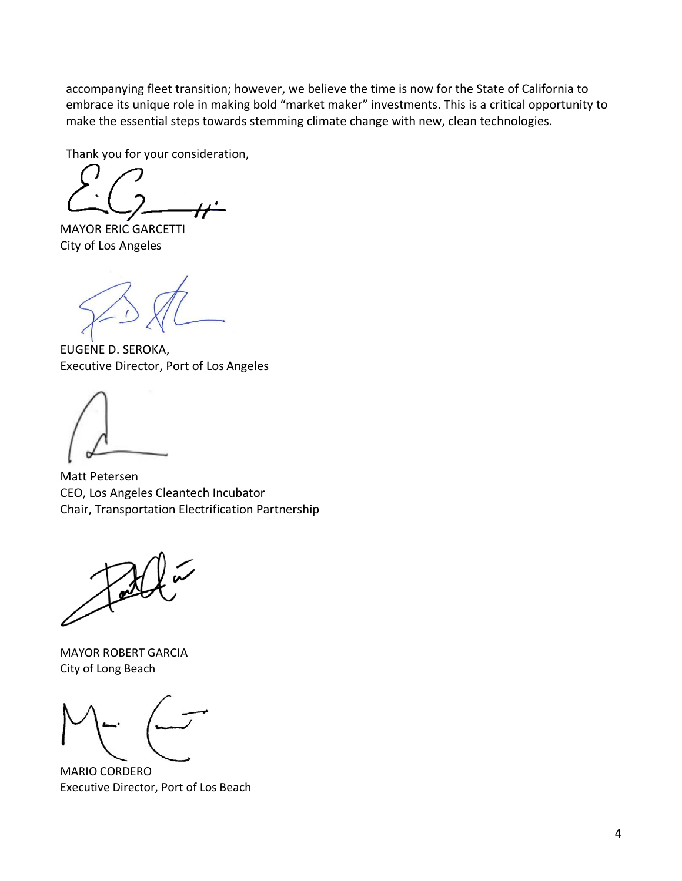accompanying fleet transition; however, we believe the time is now for the State of California to embrace its unique role in making bold "market maker" investments. This is a critical opportunity to make the essential steps towards stemming climate change with new, clean technologies.

Thank you for your consideration,

MAYOR ERIC GARCETTI City of Los Angeles

EUGENE D. SEROKA, Executive Director, Port of Los Angeles

Matt Petersen CEO, Los Angeles Cleantech Incubator Chair, Transportation Electrification Partnership

MAYOR ROBERT GARCIA City of Long Beach

MARIO CORDERO Executive Director, Port of Los Beach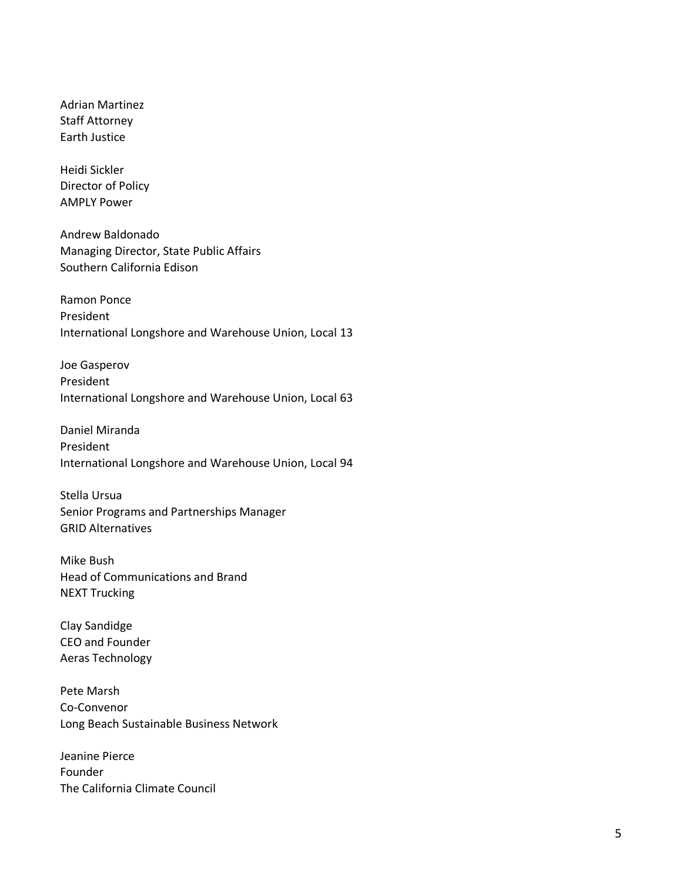Adrian Martinez Staff Attorney Earth Justice

Heidi Sickler Director of Policy AMPLY Power

Andrew Baldonado Managing Director, State Public Affairs Southern California Edison

Ramon Ponce President International Longshore and Warehouse Union, Local 13

Joe Gasperov President International Longshore and Warehouse Union, Local 63

Daniel Miranda President International Longshore and Warehouse Union, Local 94

Stella Ursua Senior Programs and Partnerships Manager GRID Alternatives

Mike Bush Head of Communications and Brand NEXT Trucking

Clay Sandidge CEO and Founder Aeras Technology

Pete Marsh Co-Convenor Long Beach Sustainable Business Network

Jeanine Pierce Founder The California Climate Council